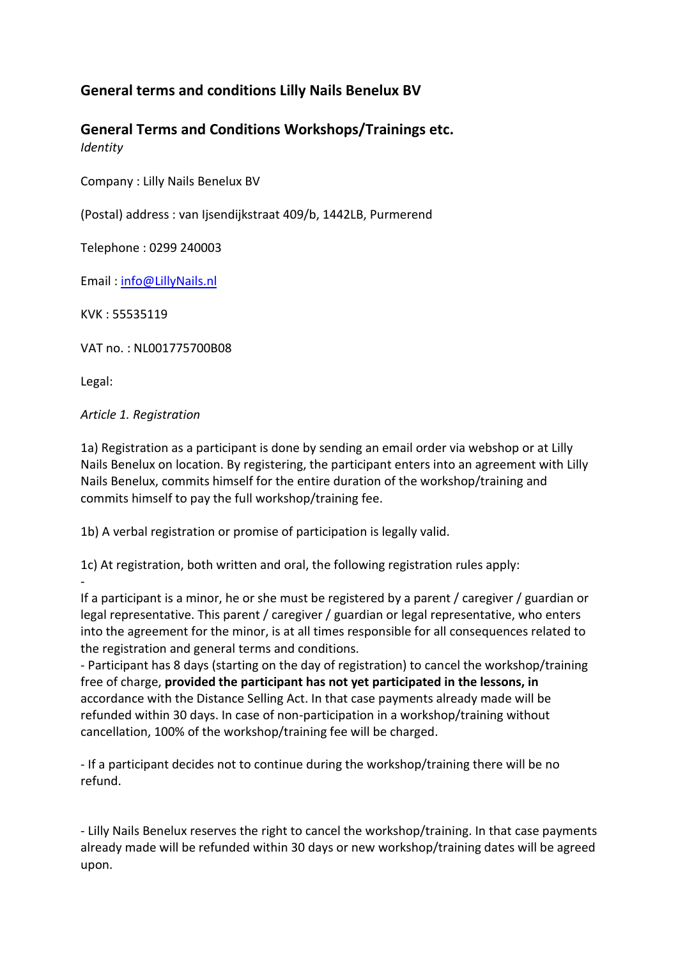# **General terms and conditions Lilly Nails Benelux BV**

**General Terms and Conditions Workshops/Trainings etc.**  *Identity*

Company : Lilly Nails Benelux BV

(Postal) address : van Ijsendijkstraat 409/b, 1442LB, Purmerend

Telephone : 0299 240003

Email : [info@LillyNails.nl](mailto:info@LillyNails.nl)

KVK : 55535119

VAT no. : NL001775700B08

Legal:

*Article 1. Registration*

1a) Registration as a participant is done by sending an email order via webshop or at Lilly Nails Benelux on location. By registering, the participant enters into an agreement with Lilly Nails Benelux, commits himself for the entire duration of the workshop/training and commits himself to pay the full workshop/training fee.

1b) A verbal registration or promise of participation is legally valid.

1c) At registration, both written and oral, the following registration rules apply:

- If a participant is a minor, he or she must be registered by a parent / caregiver / guardian or legal representative. This parent / caregiver / guardian or legal representative, who enters into the agreement for the minor, is at all times responsible for all consequences related to the registration and general terms and conditions.

- Participant has 8 days (starting on the day of registration) to cancel the workshop/training free of charge, **provided the participant has not yet participated in the lessons, in**  accordance with the Distance Selling Act. In that case payments already made will be refunded within 30 days. In case of non-participation in a workshop/training without cancellation, 100% of the workshop/training fee will be charged.

- If a participant decides not to continue during the workshop/training there will be no refund.

- Lilly Nails Benelux reserves the right to cancel the workshop/training. In that case payments already made will be refunded within 30 days or new workshop/training dates will be agreed upon.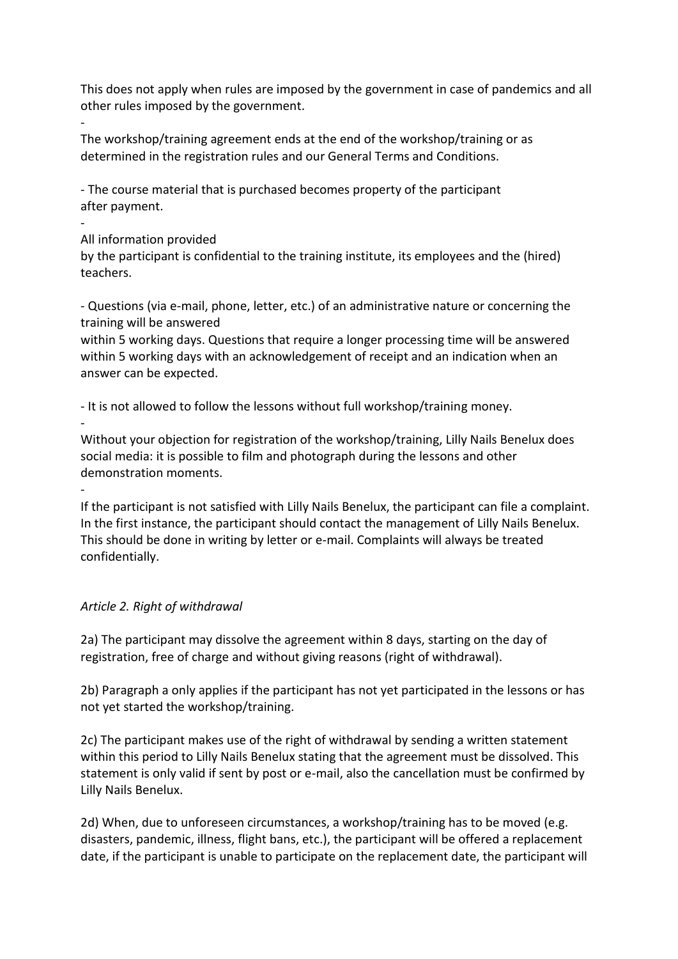This does not apply when rules are imposed by the government in case of pandemics and all other rules imposed by the government.

- The workshop/training agreement ends at the end of the workshop/training or as determined in the registration rules and our General Terms and Conditions.

- The course material that is purchased becomes property of the participant after payment.

#### - All information provided

by the participant is confidential to the training institute, its employees and the (hired) teachers.

- Questions (via e-mail, phone, letter, etc.) of an administrative nature or concerning the training will be answered

within 5 working days. Questions that require a longer processing time will be answered within 5 working days with an acknowledgement of receipt and an indication when an answer can be expected.

- It is not allowed to follow the lessons without full workshop/training money. -

Without your objection for registration of the workshop/training, Lilly Nails Benelux does social media: it is possible to film and photograph during the lessons and other demonstration moments.

If the participant is not satisfied with Lilly Nails Benelux, the participant can file a complaint. In the first instance, the participant should contact the management of Lilly Nails Benelux. This should be done in writing by letter or e-mail. Complaints will always be treated confidentially.

## *Article 2. Right of withdrawal*

-

2a) The participant may dissolve the agreement within 8 days, starting on the day of registration, free of charge and without giving reasons (right of withdrawal).

2b) Paragraph a only applies if the participant has not yet participated in the lessons or has not yet started the workshop/training.

2c) The participant makes use of the right of withdrawal by sending a written statement within this period to Lilly Nails Benelux stating that the agreement must be dissolved. This statement is only valid if sent by post or e-mail, also the cancellation must be confirmed by Lilly Nails Benelux.

2d) When, due to unforeseen circumstances, a workshop/training has to be moved (e.g. disasters, pandemic, illness, flight bans, etc.), the participant will be offered a replacement date, if the participant is unable to participate on the replacement date, the participant will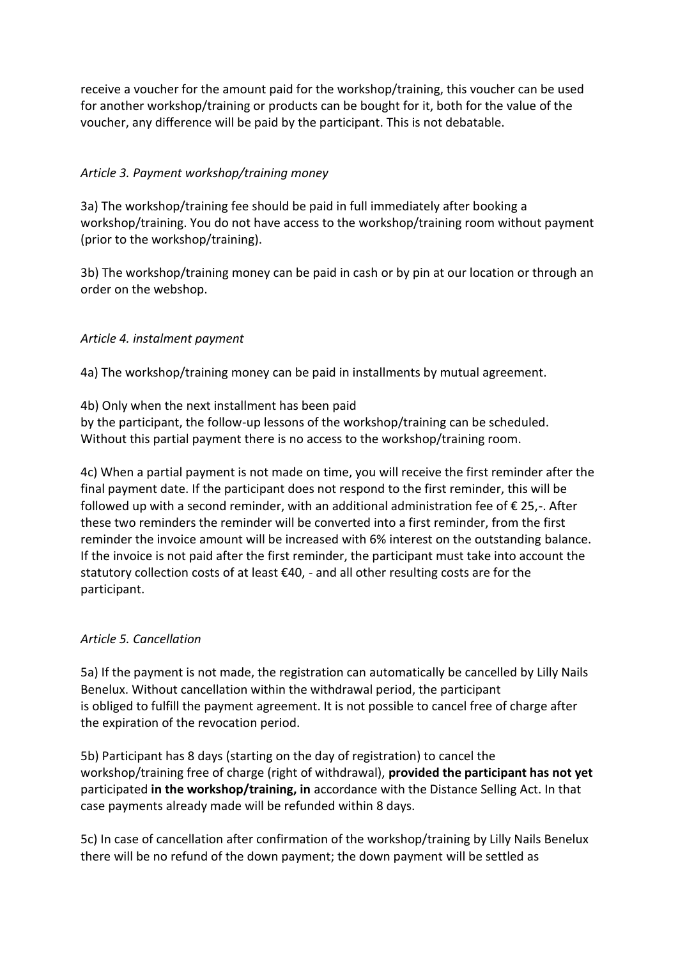receive a voucher for the amount paid for the workshop/training, this voucher can be used for another workshop/training or products can be bought for it, both for the value of the voucher, any difference will be paid by the participant. This is not debatable.

### *Article 3. Payment workshop/training money*

3a) The workshop/training fee should be paid in full immediately after booking a workshop/training. You do not have access to the workshop/training room without payment (prior to the workshop/training).

3b) The workshop/training money can be paid in cash or by pin at our location or through an order on the webshop.

### *Article 4. instalment payment*

4a) The workshop/training money can be paid in installments by mutual agreement.

4b) Only when the next installment has been paid

by the participant, the follow-up lessons of the workshop/training can be scheduled. Without this partial payment there is no access to the workshop/training room.

4c) When a partial payment is not made on time, you will receive the first reminder after the final payment date. If the participant does not respond to the first reminder, this will be followed up with a second reminder, with an additional administration fee of  $\epsilon$  25.-. After these two reminders the reminder will be converted into a first reminder, from the first reminder the invoice amount will be increased with 6% interest on the outstanding balance. If the invoice is not paid after the first reminder, the participant must take into account the statutory collection costs of at least €40, - and all other resulting costs are for the participant.

### *Article 5. Cancellation*

5a) If the payment is not made, the registration can automatically be cancelled by Lilly Nails Benelux. Without cancellation within the withdrawal period, the participant is obliged to fulfill the payment agreement. It is not possible to cancel free of charge after the expiration of the revocation period.

5b) Participant has 8 days (starting on the day of registration) to cancel the workshop/training free of charge (right of withdrawal), **provided the participant has not yet**  participated **in the workshop/training, in** accordance with the Distance Selling Act. In that case payments already made will be refunded within 8 days.

5c) In case of cancellation after confirmation of the workshop/training by Lilly Nails Benelux there will be no refund of the down payment; the down payment will be settled as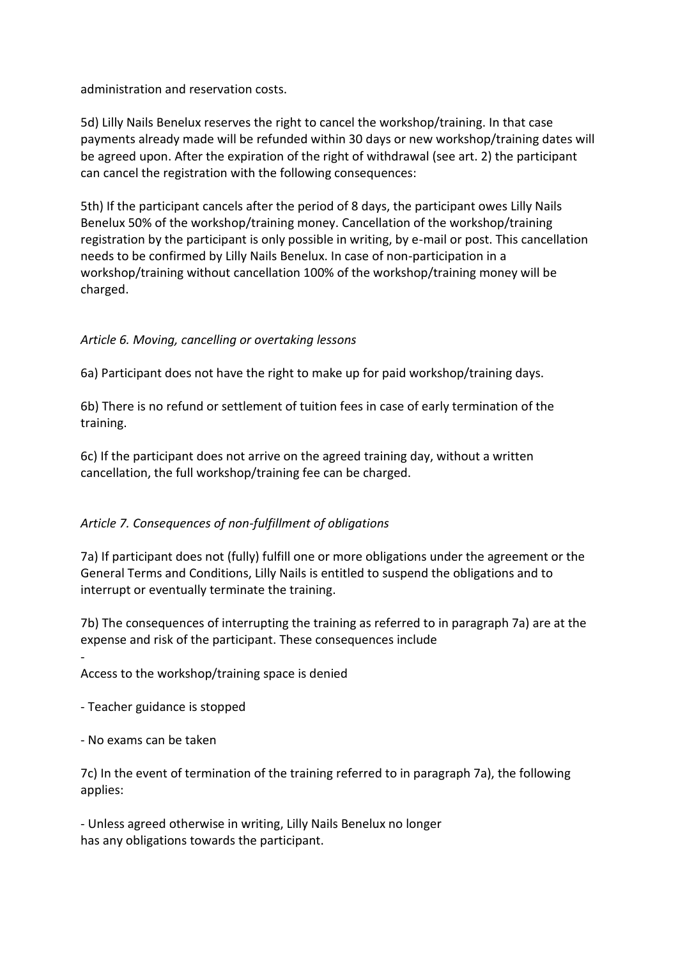administration and reservation costs.

5d) Lilly Nails Benelux reserves the right to cancel the workshop/training. In that case payments already made will be refunded within 30 days or new workshop/training dates will be agreed upon. After the expiration of the right of withdrawal (see art. 2) the participant can cancel the registration with the following consequences:

5th) If the participant cancels after the period of 8 days, the participant owes Lilly Nails Benelux 50% of the workshop/training money. Cancellation of the workshop/training registration by the participant is only possible in writing, by e-mail or post. This cancellation needs to be confirmed by Lilly Nails Benelux. In case of non-participation in a workshop/training without cancellation 100% of the workshop/training money will be charged.

### *Article 6. Moving, cancelling or overtaking lessons*

6a) Participant does not have the right to make up for paid workshop/training days.

6b) There is no refund or settlement of tuition fees in case of early termination of the training.

6c) If the participant does not arrive on the agreed training day, without a written cancellation, the full workshop/training fee can be charged.

### *Article 7. Consequences of non-fulfillment of obligations*

7a) If participant does not (fully) fulfill one or more obligations under the agreement or the General Terms and Conditions, Lilly Nails is entitled to suspend the obligations and to interrupt or eventually terminate the training.

7b) The consequences of interrupting the training as referred to in paragraph 7a) are at the expense and risk of the participant. These consequences include

Access to the workshop/training space is denied

- Teacher guidance is stopped

- No exams can be taken

-

7c) In the event of termination of the training referred to in paragraph 7a), the following applies:

- Unless agreed otherwise in writing, Lilly Nails Benelux no longer has any obligations towards the participant.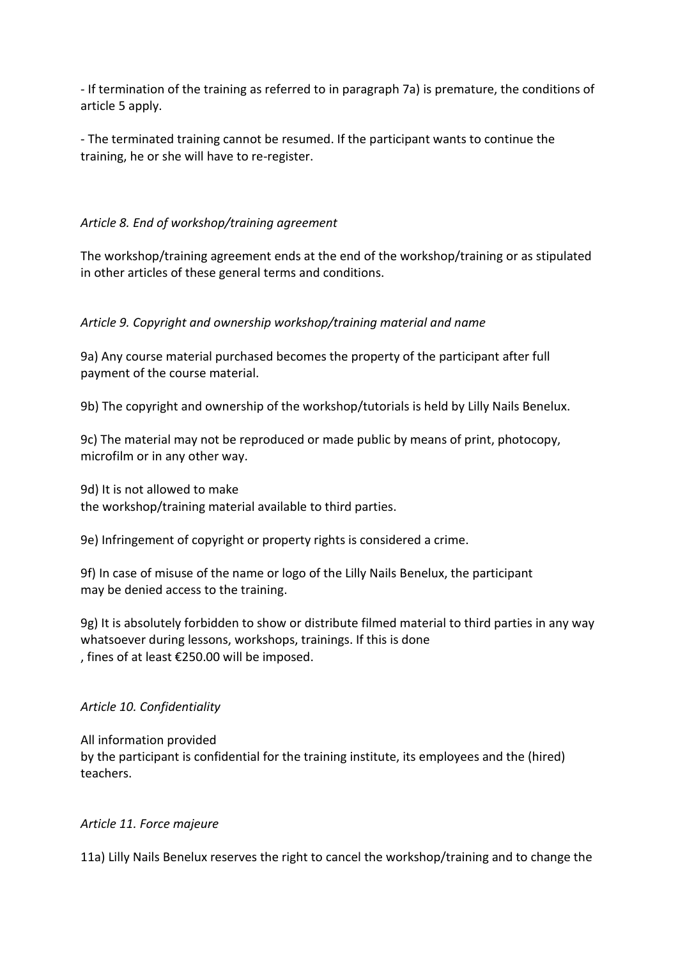- If termination of the training as referred to in paragraph 7a) is premature, the conditions of article 5 apply.

- The terminated training cannot be resumed. If the participant wants to continue the training, he or she will have to re-register.

### *Article 8. End of workshop/training agreement*

The workshop/training agreement ends at the end of the workshop/training or as stipulated in other articles of these general terms and conditions.

### *Article 9. Copyright and ownership workshop/training material and name*

9a) Any course material purchased becomes the property of the participant after full payment of the course material.

9b) The copyright and ownership of the workshop/tutorials is held by Lilly Nails Benelux.

9c) The material may not be reproduced or made public by means of print, photocopy, microfilm or in any other way.

9d) It is not allowed to make the workshop/training material available to third parties.

9e) Infringement of copyright or property rights is considered a crime.

9f) In case of misuse of the name or logo of the Lilly Nails Benelux, the participant may be denied access to the training.

9g) It is absolutely forbidden to show or distribute filmed material to third parties in any way whatsoever during lessons, workshops, trainings. If this is done , fines of at least €250.00 will be imposed.

### *Article 10. Confidentiality*

All information provided by the participant is confidential for the training institute, its employees and the (hired) teachers.

### *Article 11. Force majeure*

11a) Lilly Nails Benelux reserves the right to cancel the workshop/training and to change the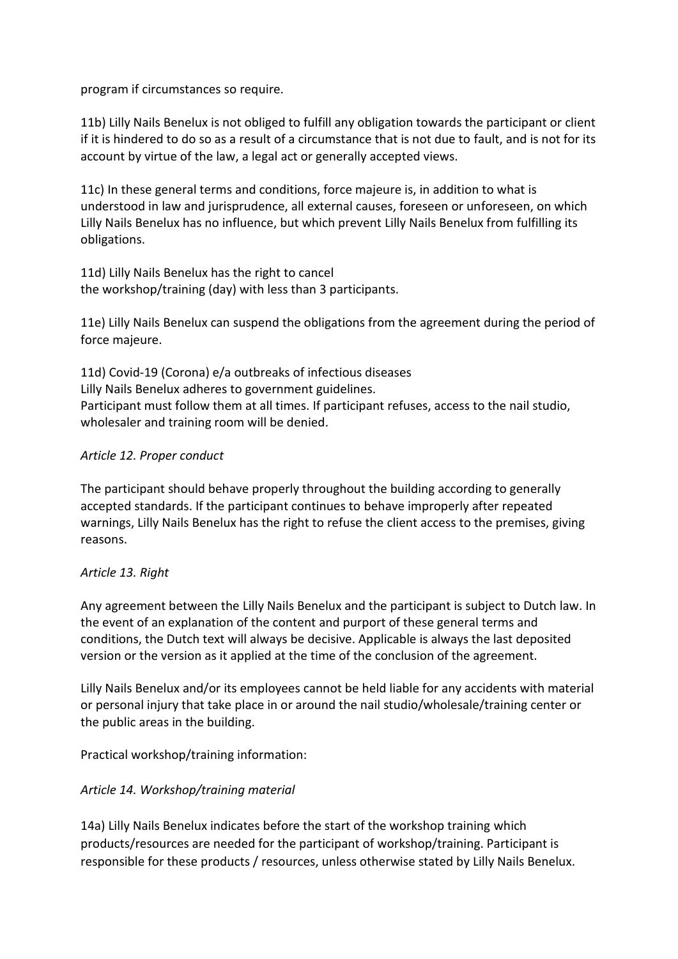program if circumstances so require.

11b) Lilly Nails Benelux is not obliged to fulfill any obligation towards the participant or client if it is hindered to do so as a result of a circumstance that is not due to fault, and is not for its account by virtue of the law, a legal act or generally accepted views.

11c) In these general terms and conditions, force majeure is, in addition to what is understood in law and jurisprudence, all external causes, foreseen or unforeseen, on which Lilly Nails Benelux has no influence, but which prevent Lilly Nails Benelux from fulfilling its obligations.

11d) Lilly Nails Benelux has the right to cancel the workshop/training (day) with less than 3 participants.

11e) Lilly Nails Benelux can suspend the obligations from the agreement during the period of force majeure.

11d) Covid-19 (Corona) e/a outbreaks of infectious diseases Lilly Nails Benelux adheres to government guidelines. Participant must follow them at all times. If participant refuses, access to the nail studio, wholesaler and training room will be denied.

### *Article 12. Proper conduct*

The participant should behave properly throughout the building according to generally accepted standards. If the participant continues to behave improperly after repeated warnings, Lilly Nails Benelux has the right to refuse the client access to the premises, giving reasons.

#### *Article 13. Right*

Any agreement between the Lilly Nails Benelux and the participant is subject to Dutch law. In the event of an explanation of the content and purport of these general terms and conditions, the Dutch text will always be decisive. Applicable is always the last deposited version or the version as it applied at the time of the conclusion of the agreement.

Lilly Nails Benelux and/or its employees cannot be held liable for any accidents with material or personal injury that take place in or around the nail studio/wholesale/training center or the public areas in the building.

Practical workshop/training information:

### *Article 14. Workshop/training material*

14a) Lilly Nails Benelux indicates before the start of the workshop training which products/resources are needed for the participant of workshop/training. Participant is responsible for these products / resources, unless otherwise stated by Lilly Nails Benelux.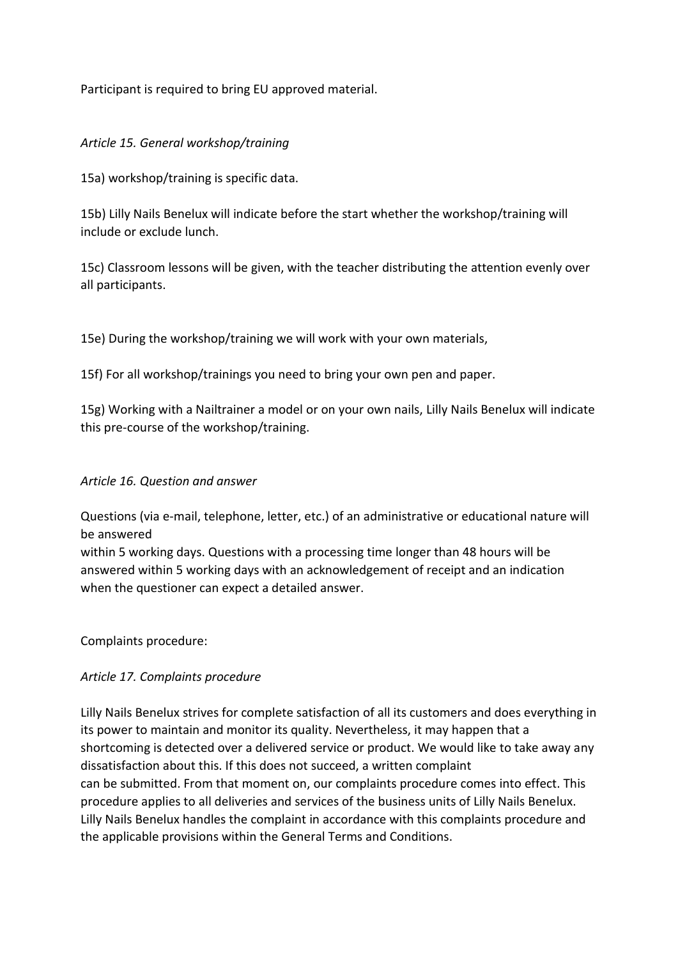Participant is required to bring EU approved material.

#### *Article 15. General workshop/training*

15a) workshop/training is specific data.

15b) Lilly Nails Benelux will indicate before the start whether the workshop/training will include or exclude lunch.

15c) Classroom lessons will be given, with the teacher distributing the attention evenly over all participants.

15e) During the workshop/training we will work with your own materials,

15f) For all workshop/trainings you need to bring your own pen and paper.

15g) Working with a Nailtrainer a model or on your own nails, Lilly Nails Benelux will indicate this pre-course of the workshop/training.

#### *Article 16. Question and answer*

Questions (via e-mail, telephone, letter, etc.) of an administrative or educational nature will be answered

within 5 working days. Questions with a processing time longer than 48 hours will be answered within 5 working days with an acknowledgement of receipt and an indication when the questioner can expect a detailed answer.

Complaints procedure:

#### *Article 17. Complaints procedure*

Lilly Nails Benelux strives for complete satisfaction of all its customers and does everything in its power to maintain and monitor its quality. Nevertheless, it may happen that a shortcoming is detected over a delivered service or product. We would like to take away any dissatisfaction about this. If this does not succeed, a written complaint can be submitted. From that moment on, our complaints procedure comes into effect. This procedure applies to all deliveries and services of the business units of Lilly Nails Benelux. Lilly Nails Benelux handles the complaint in accordance with this complaints procedure and the applicable provisions within the General Terms and Conditions.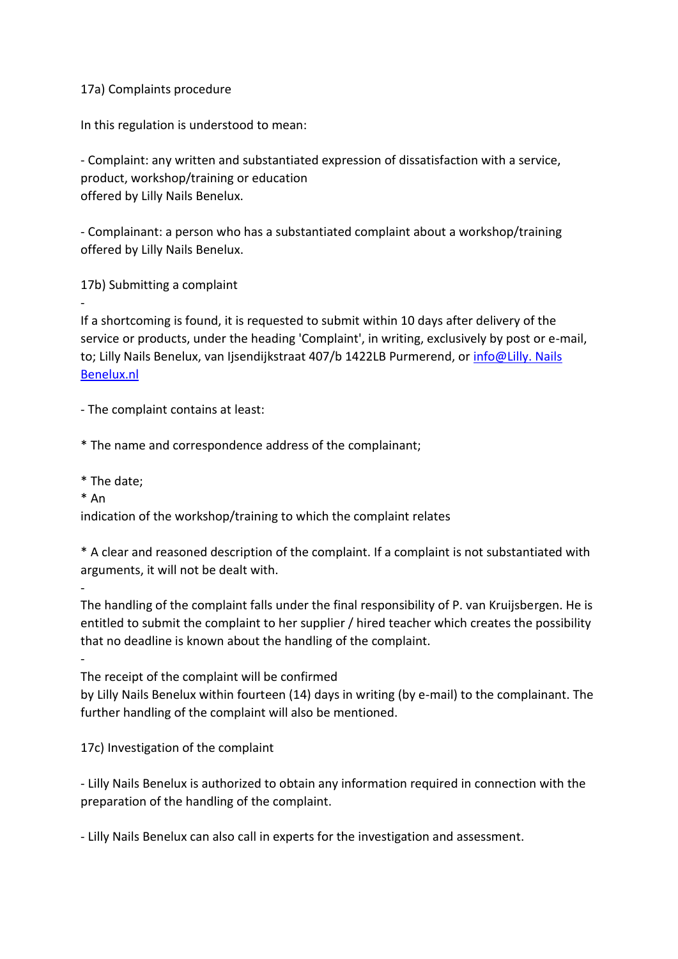#### 17a) Complaints procedure

In this regulation is understood to mean:

- Complaint: any written and substantiated expression of dissatisfaction with a service, product, workshop/training or education offered by Lilly Nails Benelux.

- Complainant: a person who has a substantiated complaint about a workshop/training offered by Lilly Nails Benelux.

17b) Submitting a complaint

If a shortcoming is found, it is requested to submit within 10 days after delivery of the service or products, under the heading 'Complaint', in writing, exclusively by post or e-mail, to; Lilly Nails Benelux, van Ijsendijkstraat 407/b 1422LB Purmerend, or info@Lilly. Nails [Benelux.nl](mailto:info@saloncosmetics.nl)

- The complaint contains at least:

\* The name and correspondence address of the complainant;

- \* The date;
- \* An

-

-

-

indication of the workshop/training to which the complaint relates

\* A clear and reasoned description of the complaint. If a complaint is not substantiated with arguments, it will not be dealt with.

The handling of the complaint falls under the final responsibility of P. van Kruijsbergen. He is entitled to submit the complaint to her supplier / hired teacher which creates the possibility that no deadline is known about the handling of the complaint.

The receipt of the complaint will be confirmed

by Lilly Nails Benelux within fourteen (14) days in writing (by e-mail) to the complainant. The further handling of the complaint will also be mentioned.

17c) Investigation of the complaint

- Lilly Nails Benelux is authorized to obtain any information required in connection with the preparation of the handling of the complaint.

- Lilly Nails Benelux can also call in experts for the investigation and assessment.